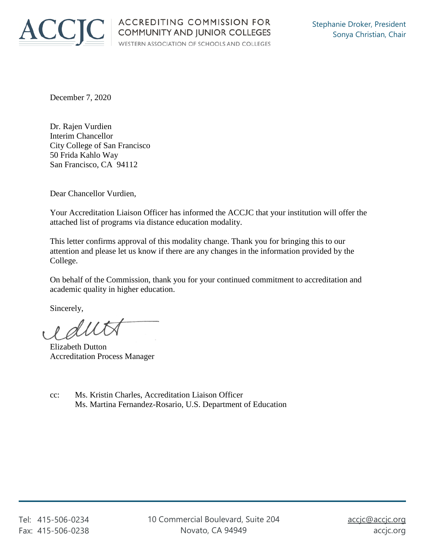

December 7, 2020

Dr. Rajen Vurdien Interim Chancellor City College of San Francisco 50 Frida Kahlo Way San Francisco, CA 94112

Dear Chancellor Vurdien,

Your Accreditation Liaison Officer has informed the ACCJC that your institution will offer the attached list of programs via distance education modality.

This letter confirms approval of this modality change. Thank you for bringing this to our attention and please let us know if there are any changes in the information provided by the College.

On behalf of the Commission, thank you for your continued commitment to accreditation and academic quality in higher education.

Sincerely,

e duta

Elizabeth Dutton Accreditation Process Manager

cc: Ms. Kristin Charles, Accreditation Liaison Officer Ms. Martina Fernandez-Rosario, U.S. Department of Education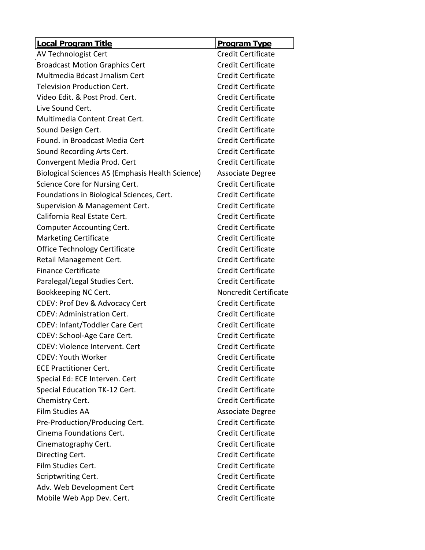| <b>Local Program Title</b>                       | <b>Program Type</b>       |
|--------------------------------------------------|---------------------------|
| AV Technologist Cert                             | <b>Credit Certificate</b> |
| <b>Broadcast Motion Graphics Cert</b>            | <b>Credit Certificate</b> |
| Multmedia Bdcast Jrnalism Cert                   | <b>Credit Certificate</b> |
| <b>Television Production Cert.</b>               | <b>Credit Certificate</b> |
| Video Edit. & Post Prod. Cert.                   | <b>Credit Certificate</b> |
| Live Sound Cert.                                 | <b>Credit Certificate</b> |
| Multimedia Content Creat Cert.                   | <b>Credit Certificate</b> |
| Sound Design Cert.                               | <b>Credit Certificate</b> |
| Found. in Broadcast Media Cert                   | <b>Credit Certificate</b> |
| Sound Recording Arts Cert.                       | <b>Credit Certificate</b> |
| Convergent Media Prod. Cert                      | <b>Credit Certificate</b> |
| Biological Sciences AS (Emphasis Health Science) | <b>Associate Degree</b>   |
| Science Core for Nursing Cert.                   | <b>Credit Certificate</b> |
| Foundations in Biological Sciences, Cert.        | <b>Credit Certificate</b> |
| Supervision & Management Cert.                   | <b>Credit Certificate</b> |
| California Real Estate Cert.                     | Credit Certificate        |
| <b>Computer Accounting Cert.</b>                 | <b>Credit Certificate</b> |
| <b>Marketing Certificate</b>                     | <b>Credit Certificate</b> |
| Office Technology Certificate                    | <b>Credit Certificate</b> |
| Retail Management Cert.                          | <b>Credit Certificate</b> |
| <b>Finance Certificate</b>                       | <b>Credit Certificate</b> |
| Paralegal/Legal Studies Cert.                    | <b>Credit Certificate</b> |
| Bookkeeping NC Cert.                             | Noncredit Certificate     |
| CDEV: Prof Dev & Advocacy Cert                   | <b>Credit Certificate</b> |
| <b>CDEV: Administration Cert.</b>                | <b>Credit Certificate</b> |
| <b>CDEV: Infant/Toddler Care Cert</b>            | <b>Credit Certificate</b> |
| CDEV: School-Age Care Cert.                      | <b>Credit Certificate</b> |
| CDEV: Violence Intervent. Cert                   | Credit Certificate        |
| <b>CDEV: Youth Worker</b>                        | <b>Credit Certificate</b> |
| <b>ECE Practitioner Cert.</b>                    | <b>Credit Certificate</b> |
| Special Ed: ECE Interven. Cert                   | <b>Credit Certificate</b> |
| Special Education TK-12 Cert.                    | Credit Certificate        |
| Chemistry Cert.                                  | <b>Credit Certificate</b> |
| <b>Film Studies AA</b>                           | <b>Associate Degree</b>   |
| Pre-Production/Producing Cert.                   | <b>Credit Certificate</b> |
| Cinema Foundations Cert.                         | <b>Credit Certificate</b> |
| Cinematography Cert.                             | Credit Certificate        |
| Directing Cert.                                  | <b>Credit Certificate</b> |
| Film Studies Cert.                               | <b>Credit Certificate</b> |
| Scriptwriting Cert.                              | <b>Credit Certificate</b> |
| Adv. Web Development Cert                        | <b>Credit Certificate</b> |
| Mobile Web App Dev. Cert.                        | <b>Credit Certificate</b> |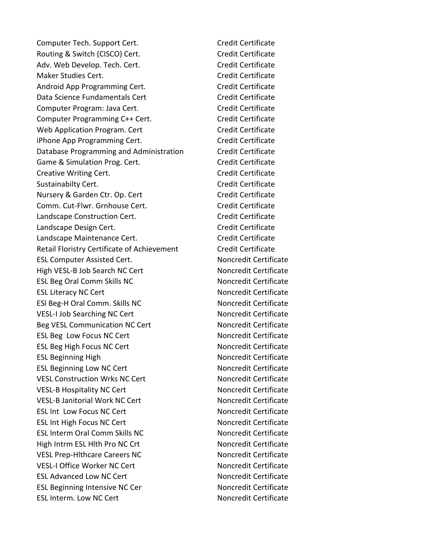Computer Tech. Support Cert. Computer Tech. Support Cert. Routing & Switch (CISCO) Cert. Credit Certificate Adv. Web Develop. Tech. Cert. Credit Certificate Maker Studies Cert. Communication of the Credit Certificate Android App Programming Cert. Credit Certificate Data Science Fundamentals Cert Credit Certificate Computer Program: Java Cert. Computer Program: Java Cert. Computer Programming C++ Cert. Credit Certificate Web Application Program. Cert Credit Certificate iPhone App Programming Cert. Credit Certificate Database Programming and Administration Credit Certificate Game & Simulation Prog. Cert. Credit Certificate Creative Writing Cert. Creative Writing Cert. Sustainabilty Cert. The Credit Certificate Credit Certificate Nursery & Garden Ctr. Op. Cert Credit Certificate Comm. Cut-Flwr. Grnhouse Cert. Comm. Cut-Flwr. Grnhouse Cert. Landscape Construction Cert. Credit Certificate Landscape Design Cert. Capacase Credit Certificate Landscape Maintenance Cert. Credit Certificate Retail Floristry Certificate of Achievement Credit Certificate ESL Computer Assisted Cert. Noncredit Certificate High VESL-B Job Search NC Cert Noncredit Certificate ESL Beg Oral Comm Skills NC Noncredit Certificate ESL Literacy NC Cert Noncredit Certificate ESI Beg-H Oral Comm. Skills NC Noncredit Certificate VESL-I Job Searching NC Cert Noncredit Certificate Beg VESL Communication NC Cert Noncredit Certificate ESL Beg Low Focus NC Cert Noncredit Certificate ESL Beg High Focus NC Cert Noncredit Certificate ESL Beginning High Noncredit Certificate ESL Beginning Low NC Cert Noncredit Certificate VESL Construction Wrks NC Cert Noncredit Certificate VESL-B Hospitality NC Cert Noncredit Certificate VESL-B Janitorial Work NC Cert Noncredit Certificate ESL Int Low Focus NC Cert Noncredit Certificate ESL Int High Focus NC Cert Noncredit Certificate ESL Interm Oral Comm Skills NC Noncredit Certificate High Intrm ESL HIth Pro NC Crt Noncredit Certificate VESL Prep-Hithcare Careers NC Noncredit Certificate VESL-I Office Worker NC Cert Noncredit Certificate ESL Advanced Low NC Cert Noncredit Certificate ESL Beginning Intensive NC Cer Noncredit Certificate ESL Interm. Low NC Cert Noncredit Certificate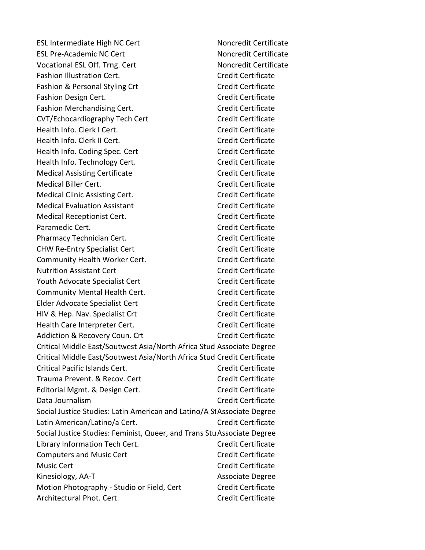ESL Intermediate High NC Cert Noncredit Certificate ESL Pre-Academic NC Cert Noncredit Certificate Vocational ESL Off. Trng. Cert Noncredit Certificate Fashion Illustration Cert. Credit Certificate Fashion & Personal Styling Crt Credit Certificate Fashion Design Cert. **Credit Certificate** Credit Certificate Fashion Merchandising Cert. **Credit Certificate** Credit Certificate CVT/Echocardiography Tech Cert Credit Certificate Health Info. Clerk I Cert. Credit Certificate Health Info. Clerk II Cert. Credit Certificate Health Info. Coding Spec. Cert Credit Certificate Health Info. Technology Cert. Credit Certificate Medical Assisting Certificate Credit Certificate Medical Biller Cert. Credit Certificate Medical Clinic Assisting Cert. Credit Certificate Medical Evaluation Assistant Credit Certificate Medical Receptionist Cert. Credit Certificate Paramedic Cert. **Credit Certificate Paramedic Certificate** Pharmacy Technician Cert. Credit Certificate CHW Re-Entry Specialist Cert Credit Certificate Community Health Worker Cert. Community Health Worker Cert. Nutrition Assistant Cert Credit Certificate Youth Advocate Specialist Cert Credit Certificate Community Mental Health Cert. Community Mental Health Cert. Elder Advocate Specialist Cert Credit Certificate HIV & Hep. Nav. Specialist Crt Credit Certificate Health Care Interpreter Cert. Credit Certificate Addiction & Recovery Coun. Crt Credit Certificate Critical Middle East/Soutwest Asia/North Africa Stud Associate Degree Critical Middle East/Soutwest Asia/North Africa Stud Credit Certificate Critical Pacific Islands Cert. Credit Certificate Trauma Prevent. & Recov. Cert Credit Certificate Editorial Mgmt. & Design Cert. Credit Certificate Data Journalism Credit Certificate Social Justice Studies: Latin American and Latino/A StAssociate Degree Latin American/Latino/a Cert. Credit Certificate Social Justice Studies: Feminist, Queer, and Trans StuAssociate Degree Library Information Tech Cert. Credit Certificate Computers and Music Cert Computers and Music Cert Music Cert Credit Certificate Kinesiology, AA-T Associate Degree Motion Photography - Studio or Field, Cert Credit Certificate Architectural Phot. Cert. Credit Certificate